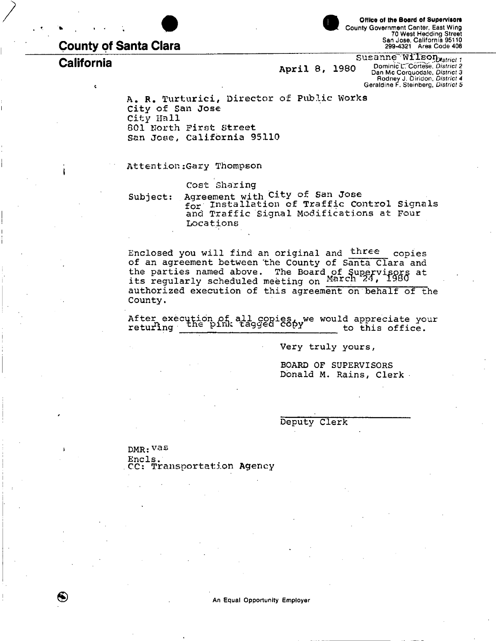# **County of Santa Clara**

**®** 



**Office of the Board of Supervisors**  County Government Center, East Wing 70 West Hedding Street San Jose, California 95110 299-4321 Area Code 408

**California California** *April* **8, 1980** Susanne<sup>y</sup>Wilson<br>Dominic L. Cortese, District 2 1980 Dominic C. Correse, *District 2*<br>
Rodney J. Diridon, *District 3*<br>
Geraldine F. Steinberg, *District 5* 

> A. R. Turturici, Director of Public Works City of San Jose City Hall 801 North First Street San Jose, California 95110

Attention:Gary Thompson

Cost Sharing

Subject: Agreement with City of San Jose for Installation of Traffic Control Signals<br>And Worffie Gignal Modifications at Pour and Traffic Signal Modifications at Four Locations

Enclosed you will find an original and three copies of an agreement between 'the County of Santa Clara and the parties named above. The Board of Supervisors at its regularly scheduled meeting on March, 24, 1980 authorized execution of this agreement on behalf of the County.

After execution of all copies, we would appreciate your returing the pink tagged copy to this office.

Very truly yours,

BOARD OF SUPERVISORS Donald M. Rains, Clerk

Deputy Clerk

DMR: Vas Encls. CC: Transportation Agency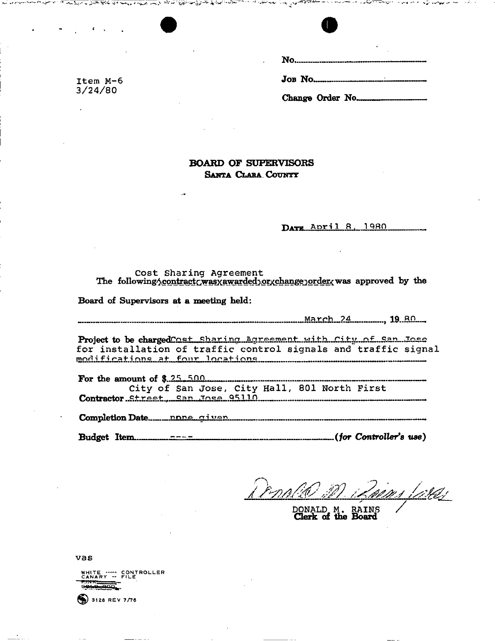

ن او د استان باید

**BOARD OF SUPERVISORS SANTA CLARA COUNT?** 

DATE April 8, 1980

Cost Sharing Agreement The following <u>contract cwas xawarded torxchange order</u> was approved by the

**Board of Supervisors at a meeting held:** 

تعدينا بالمرض والمتعارض والمتعاربين

 $\sim$   $\sim$   $\sim$   $\sim$   $\sim$   $\sim$ 

*March 24*  $\ldots$  19.80

Project to be charged **Cost Sharing Agreement** with Ci for installation of traffic control signals and traffic signal  $\n *modifications*\n $at$ \n $four$ \n $localions$ \n $10.02 \times 10.05$ \n $10.03 \times 10^{-10}$ \n $10.03 \times 10^{-10}$ \n $10.04 \times 10^{-10}$ \n $10.04 \times 10^{-10}$ \n $10.04 \times 10^{-10}$$ 

**For the amount of \$.25.500.........** City of San Jose, City Hall, 801 North First **Contractor Street, San Jose 95110** 

**Completion Date ny>no gl^j^r?** 

**Budget Item -— -** *(for Controller's use)* 

oins larej

DONALD. M. RAINS  $\sqrt{}$ **Clerk of the Board** 

vas



 $3128$  REV 7/76

Item M-6 3/24/80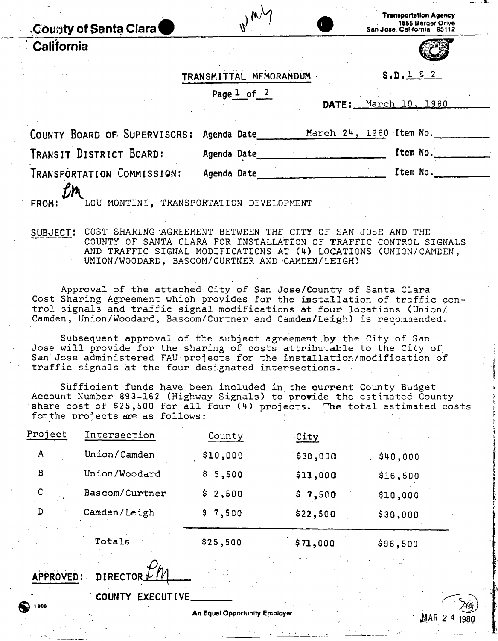| County of Santa Clara                                                                                                                                                                                                                                               | $\nu^{\mu}$                         | <b>Transportation Agency</b><br>1555 Berger Drive<br>San Jose, California 95112                                                                                                                                                                                                                                                                             |  |  |
|---------------------------------------------------------------------------------------------------------------------------------------------------------------------------------------------------------------------------------------------------------------------|-------------------------------------|-------------------------------------------------------------------------------------------------------------------------------------------------------------------------------------------------------------------------------------------------------------------------------------------------------------------------------------------------------------|--|--|
| California                                                                                                                                                                                                                                                          |                                     |                                                                                                                                                                                                                                                                                                                                                             |  |  |
|                                                                                                                                                                                                                                                                     | TRANSMITTAL MEMORANDUM              | S.D. 1 8 2                                                                                                                                                                                                                                                                                                                                                  |  |  |
|                                                                                                                                                                                                                                                                     | Page $\frac{1}{2}$ of $\frac{2}{3}$ | DATE: March 10, 1980                                                                                                                                                                                                                                                                                                                                        |  |  |
| COUNTY BOARD OF SUPERVISORS:                                                                                                                                                                                                                                        | Agenda Date                         | March 24, 1980 Item No.                                                                                                                                                                                                                                                                                                                                     |  |  |
| TRANSIT DISTRICT BOARD:                                                                                                                                                                                                                                             | Agenda Date                         | Item No.                                                                                                                                                                                                                                                                                                                                                    |  |  |
| TRANSPORTATION COMMISSION:<br>LOU MONTINI, TRANSPORTATION DEVELOPMENT                                                                                                                                                                                               | Agenda Date                         | Item No.                                                                                                                                                                                                                                                                                                                                                    |  |  |
| <b>FROM:</b>                                                                                                                                                                                                                                                        |                                     |                                                                                                                                                                                                                                                                                                                                                             |  |  |
| COST SHARING AGREEMENT BETWEEN THE CITY OF SAN JOSE AND THE<br>SUBJECT:<br>COUNTY OF SANTA CLARA FOR INSTALLATION OF TRAFFIC CONTROL SIGNALS<br>AND TRAFFIC SIGNAL MODIFICATIONS AT (4) LOCATIONS (UNION/CAMDEN,<br>UNION/WOODARD, BASCOM/CURTNER AND CAMDEN/LEIGH) |                                     |                                                                                                                                                                                                                                                                                                                                                             |  |  |
| and a fact the communication of the contract of the contract of the contract of the contract of the contract o                                                                                                                                                      |                                     | $\mathcal{L}$ $\mathcal{L}$ $\mathcal{L}$ $\mathcal{L}$ $\mathcal{L}$ $\mathcal{L}$ $\mathcal{L}$ $\mathcal{L}$ $\mathcal{L}$ $\mathcal{L}$ $\mathcal{L}$ $\mathcal{L}$ $\mathcal{L}$ $\mathcal{L}$ $\mathcal{L}$ $\mathcal{L}$ $\mathcal{L}$ $\mathcal{L}$ $\mathcal{L}$ $\mathcal{L}$ $\mathcal{L}$ $\mathcal{L}$ $\mathcal{L}$ $\mathcal{L}$ $\mathcal{$ |  |  |

Approval of the attached City of San Jose/County of Santa Clara Cost Sharing Agreement which provides for the installation of traffic control signals and traffic signal modifications at four locations (Union/ Camden, Union/Woodard, Bascom/Curtner and Camden/Leigh) is recommended.

Subsequent approval of the subject agreement by the City of San Jose will provide for the sharing of costs attributable to the City of San Jose administered FAU projects for the installation/modification of traffic signals at the four designated intersections.

Sufficient funds have been included in, the current County Budget Account Number 893-162 (Highway Signals) to provide the estimated County share cost of \$25,500 for all four (4) projects. The total estimated costs forthe projects are as follows:

|         | Totals         | \$25,500 | \$71.000    | \$96.500 |
|---------|----------------|----------|-------------|----------|
| D       | Camden/Leigh   | \$7,500  | \$22,500    | \$30,000 |
| С       | Bascom/Curtner | \$2,500  | \$7,500     | \$10,000 |
| B       | Union/Woodard  | \$5,500  | \$11,000    | \$16,500 |
| A       | Union/Camden   | \$10,000 | \$30,000    | \$40,000 |
| Project | Intersection   | County   | <u>City</u> |          |

APPROVED: DIRECTOR

COUNTY EXECUTIVE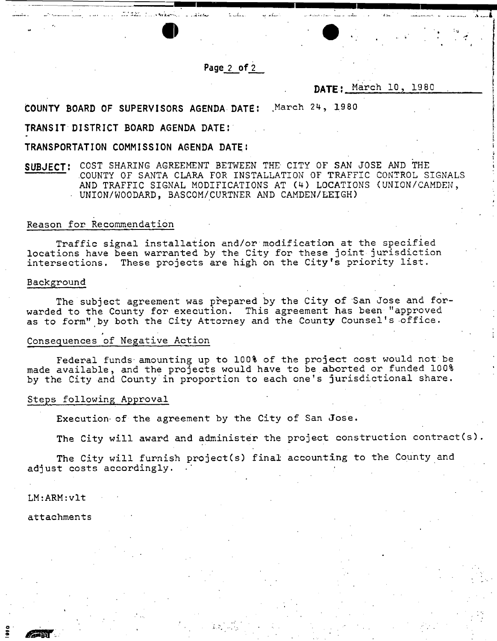Page 2 of 2

ti difficili

# **DATE** . March 10, 19 80

COUNTY BOARD OF SUPERVISORS AGENDA DATE: March 24, 1980

### TRANSIT DISTRICT BOARD AGENDA DATE:

TRANSPORTATION COMMISSION AGENDA DATE !

ll, van die 1444 beskrywer is dikke

## **SUBJECT:** COST SHARING AGREEMENT BETWEEN THE CITY OF SAN JOSE AND THE .COUNTY OF SANTA CLARA FOR INSTALLATION OF TRAFFIC CONTROL SIGNALS AND TRAFFIC SIGNAL MODIFICATIONS AT (4) LOCATIONS (UNION/CAMDEN, • UNION/WOODARD, BASCOM/CURTNER AND CAMDEN/LEIGH)

#### Reason for Recommendation

Traffic signal installation and/or modification at the specified locations have been warranted by the City for these joint jurisdiction intersections. These projects are high on the City's priority list.

#### Background

The subject agreement was prepared by the City of San Jose and forwarded to the County for execution. This agreement has been "approved as to form" by both the City Attorney and the Count**y** Counsel's office.

#### Consequences of Negative Action

Federal funds' amounting up to 100% of the project cost would not be made available, and the projects would have to be.aborted or funded 100% 1 by the City and County in proportion to each one's jurisdictional share.

#### Steps following Approval

Execution- of the agreement by the City of San Jose .

The City will award and administer the project construction contract(s).

The City will furnish project(s) final accounting to the County and adjust costs accordingly.

LM:ARM:vlt

attachments

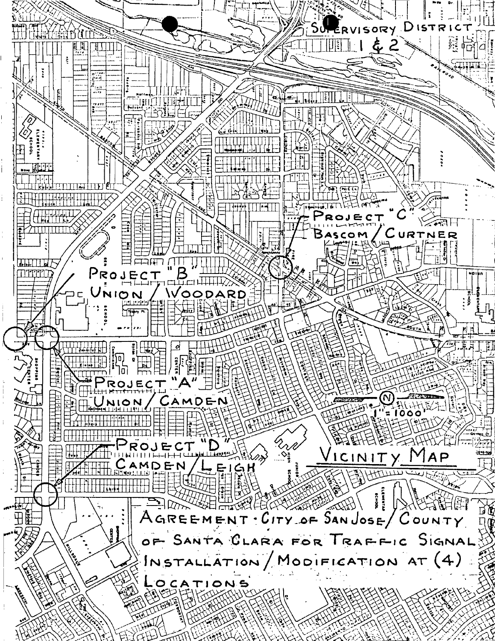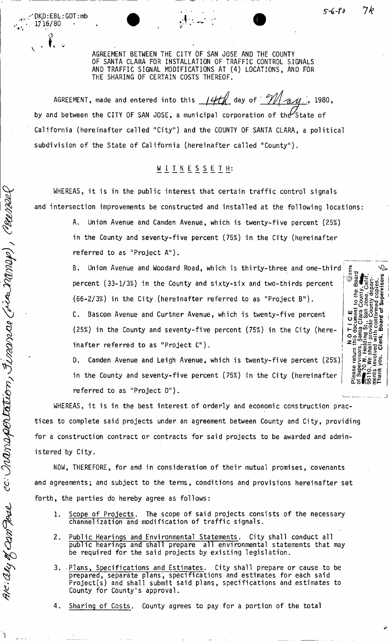| DKO:EBL:GDT:mb |<br>| 1716/80

cc: Inansportation, Finance (ria Mmap), Counse

AK: aly of can Dove

AGREEMENT BETWEEN THE CITY OF SAN JOSE AND THE COUNTY OF SANTA CLARA FOR INSTALLATION OF TRAFFIC CONTROL SIGNALS AND TRAFFIC SIGNAL MODIFICATIONS AT (4) LOCATIONS, AND FOR THE SHARING OF CERTAIN COSTS THEREOF.

AGREEMENT, made and entered into this  $14H_0$  day of  $91/24$ by and between the CITY OF SAN JOSE, a municipal corporation of the State of California (hereinafter called "City") and the COUNTY OF SANTA CLARA, a political subdivision of the State of California (hereinafter called "County").

# WITNESSETH:

WHEREAS, it is in the public interest that certain traffic control signals and intersection improvements be constructed and installed at the following locations:

> A. Union Avenue and Camden Avenue, which is twenty-five percent (25%) in the County and seventy-five percent (75%) in the City (hereinafter referred to as "Project A").

> B. Union Avenue and Woodard Road, which is thirty-three and one-third percent (33-1/3%) in the County and sixty-six and two-thirds percent j (66-2/3%) in the City (hereinafter referred to as "Project B").

C. Bascom Avenue and Curtner Avenue, which is twenty-five percent (25%) in the County and seventy-five percent (75%) in the City (hereinafter referred to as "Project C").

D. Camden Avenue and Leigh Avenue, which is twenty-five percent (25%) in the County and seventy-five percent (75%) in the City (hereinafter referred to as "Project D").

WHEREAS, it is in the best interest of orderly and economic construction practices to complete said projects under an agreement between County and City, providing for a construction contract or contracts for said projects to be awarded and administered by City.

NOW, THEREFORE, for and in consideration of their mutual promises, covenants and agreements; and subject to the terms, conditions and provisions hereinafter set forth, the parties do hereby agree as follows:

- 1. Scope of Projects. The scope of said projects consists of the necessary channelization and modification of traffic signals.
- 2. Public Hearings and Environmental Statements. City shall conduct all public hearings and shall prepare all environmental statements that may be required for the said projects by existing legislation.
- 3. Plans, Specifications and Estimates. City shall prepare or cause to be prepared, separate plans, specifications and estimates for each said Project(s) and shall submit said plans, specifications and estimates to County for County's approval.
- Sharing of Costs. County agrees to pay for a portion of the total

\_ - • . \_ *Ik* 

 $\phi^{\dagger}\in\mathbb{R}$  is  $\mathbb{R}$ 

 $2.985$   $\pm$ 

TO PERT

 $\begin{array}{c} \mathsf{L}\mathsf{G} \mathsf{G} \ \mathsf{H}\mathsf{G} \mathsf{G} \ \mathsf{H}\mathsf{G} \mathsf{G} \ \mathsf{H}\mathsf{G} \mathsf{G} \mathsf{G} \ \mathsf{H}\mathsf{G} \mathsf{G} \mathsf{G} \end{array}$ : a i So 문주

Z = 78—59 ||102529<br>| **si** ∑

> គីគីគី oo <u>s</u>  $\frac{1}{2}$   $\frac{1}{2}$  which  $\frac{1}{2}$  which  $\frac{1}{2}$  which  $\frac{1}{2}$  which  $\frac{1}{2}$  which  $\frac{1}{2}$  which  $\frac{1}{2}$  which  $\frac{1}{2}$  which  $\frac{1}{2}$  which  $\frac{1}{2}$  which  $\frac{1}{2}$  which  $\frac{1}{2}$  which  $\frac{1}{2}$  which  $\frac$ m o di p CL oio) Eh-

~ \_ 13 C •«\_ **MlCflJ Coco**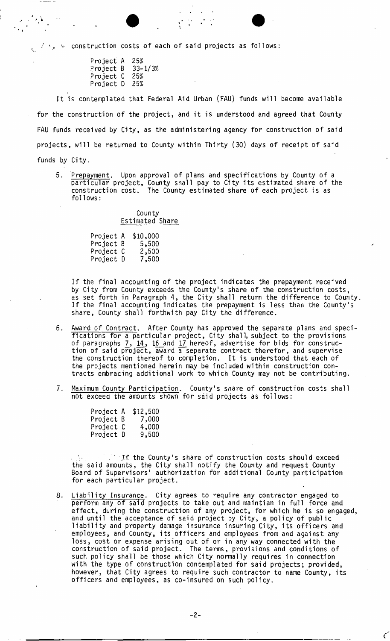$\cdot$ ,  $\cdot$  construction costs of each of said projects as follows:

Project A 25%<br>Project B 33-1/3% Project B 33-<br>Project C 25% Project C Project D 25%

It is contemplated that Federal Aid Urban (FAU) funds will become available for the construction of the project, and it is understood and agreed that County FAU funds received by City, as the administering agency for construction of said projects, will be returned to County within Thirty (30) days of receipt of said funds by City.

5. Prepayment. Upon approval of plans and specifications by County of a particular project, County shall pay to City its estimated share of the construction cost. The County estimated share of each project is as follows:

> County Estimated Share

| Project A | \$10,000 |
|-----------|----------|
| Project B | 5,500    |
| Project C | 2,500    |
| Project D | 7,500    |

If the final accounting of the project indicates the prepayment received by City from County exceeds the County's share of the construction costs, as set forth in Paragraph 4, the City shall return the difference to County. If the final accounting indicates the prepayment is less than the County's share, County shall forthwith pay City the difference.

- 6. Award of Contract. After County has approved the separate plans and specifications for a particular project, City shall, subject to the provisions of paragraphs 7\_, 14, 16 and 17 hereof, advertise for bids for construction of said project, award a separate contract therefor, and supervise the construction thereof to completion. It is understood that each of the projects mentioned herein may be included within construction contracts embracing additional work to which County may not be contributing.
- 7. Maximum County Participation. County's share of construction costs shall not exceed the amounts shown for said projects as follows:

| Project A | \$12,500 |
|-----------|----------|
| Project B | 7,000    |
| Project C | 4,000    |
| Project D | 9,500    |

. If the County's share of construction costs should exceed the said amounts, the City shall notify the County and request County Board of Supervisors' authorization for additional County participation for each particular project.

8. Liability Insurance. City agrees to require any contractor engaged to perform any of said projects to take out and maintian in full force and effect, during the construction of any project, for which he is so engaged, and until the acceptance of said project by City, a policy of public liability and property damage insurance insuring City, its officers and employees, and County, its officers and employees from and against any loss, cost or expense arising out of or in any way connected with the construction of said project. The terms, provisions and conditions of such policy shall be those which City normally requires in connection with the type of construction contemplated for said projects; provided, however, that City agrees to require such contractor to name County, its officers and employees, as co-insured on such policy.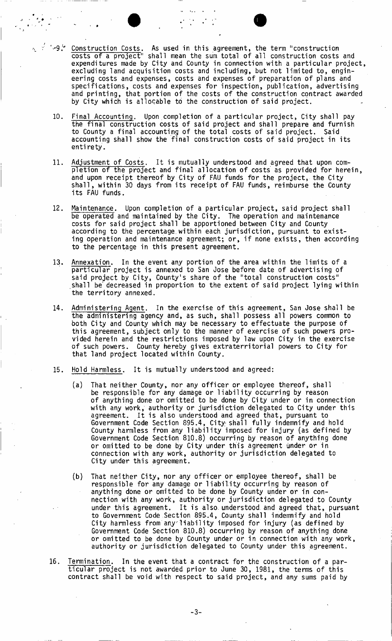$\cdot$  ' $\cdot$ 9 $\cdot$ ' Construction Costs. As used in this agreement, the term "construction costs of a project" shall mean the sum total of all construction costs and expenditures made by City and County in connection with a particular project, excluding land acquisition costs and including, but not limited to, engineering costs and expenses, costs and expenses of preparation of plans and specifications, costs and expenses for inspection, publication, advertising and printing, that portion of the costs of the construction contract awarded by City which is allocable to the construction of said project.

- 10. Final Accounting. Upon completion of a particular project, City shall pay the final construction costs of said project and shall prepare and furnish to County a final accounting of the total costs of said project. Said accounting shall show the final construction costs of said project in its entirety.
- 11. Adjustment of Costs. It is mutually understood and agreed that upon completion of the project and final allocation of costs as provided for herein, and upon receipt thereof by City of FAU funds for the project, the City shall, within 30 days from its receipt of FAU funds, reimburse the County its FAU funds.
- 12. Maintenance. Upon completion of a particular project, said project shall be operated and maintained by the City. The operation and maintenance costs for said project shall be apportioned between City and County according to the percentage.within each jurisdiction, pursuant to existing operation and maintenance agreement; or, if none exists, then according to the percentage in this present agreement.
- 13. Annexation. In the event any portion of the area within the limits of a particular project is annexed to San Jose before date of advertising of said project by City, County's share of the "total construction costs" shall be' decreased in proportion to the extent of said project lying within the territory annexed.
- 14. Administering Agent. In the exercise of this agreement, San Jose shall be the administering agency and, as such, shall possess all powers common to both City and County which may be necessary to effectuate the purpose of this agreement, subject only to the manner of exercise of such powers provided herein and the restrictions imposed by law upon City in the exercise of such powers. County hereby gives extraterritorial powers to City for that land project located within County.
- 15. Hold Harmless. It is mutually understood and agreed:
	- (a) That neither County, nor any officer or employee thereof, shall be responsible for any damage or liability occurring by reason of anything done or omitted to be done by City under or in connection with any work, authority or jurisdiction delegated to City under this agreement. It is also understood and agreed that, pursuant to Government Code Section 895.4, City; shall fully indemnify and hold County harmless from any liability imposed for injury (as defined by Government Code Section 810.8) occurring by reason of anything done or omitted to be done by City under this agreement under or in connection with any work, authority or jurisdiction delegated to City under this agreement.
	- (b) That neither City, nor any officer or employee thereof, shall be responsible for any damage or liability occurring by reason of anything done or omitted to be done by County under or in connection with any work, authority or jurisdiction delegated to County under this agreement. It is also understood and agreed that, pursuant to Government Code Section 895.4, County shall indemnify and hold City harmless from any liability imposed for injury (as defined by Government Code Section 810.8) occurring by reason of anything done or omitted to be done by County under or in connection with any work, authority or jurisdiction delegated to County under this agreement.
- 16. Termination. In the event that a contract for the construction of a particular project is not awarded prior to June 30, 1981, the terms of this contract shall be void with respect to said project, and any sums paid by